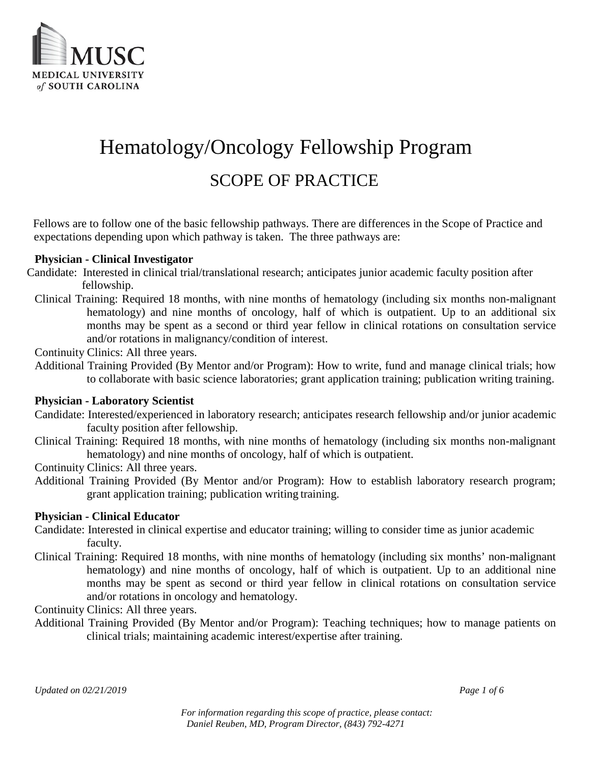

# Hematology/Oncology Fellowship Program SCOPE OF PRACTICE

Fellows are to follow one of the basic fellowship pathways. There are differences in the Scope of Practice and expectations depending upon which pathway is taken. The three pathways are:

### **Physician - Clinical Investigator**

- Candidate: Interested in clinical trial/translational research; anticipates junior academic faculty position after fellowship.
	- Clinical Training: Required 18 months, with nine months of hematology (including six months non-malignant hematology) and nine months of oncology, half of which is outpatient. Up to an additional six months may be spent as a second or third year fellow in clinical rotations on consultation service and/or rotations in malignancy/condition of interest.
	- Continuity Clinics: All three years.
	- Additional Training Provided (By Mentor and/or Program): How to write, fund and manage clinical trials; how to collaborate with basic science laboratories; grant application training; publication writing training.

### **Physician - Laboratory Scientist**

- Candidate: Interested/experienced in laboratory research; anticipates research fellowship and/or junior academic faculty position after fellowship.
- Clinical Training: Required 18 months, with nine months of hematology (including six months non-malignant hematology) and nine months of oncology, half of which is outpatient.

Continuity Clinics: All three years.

Additional Training Provided (By Mentor and/or Program): How to establish laboratory research program; grant application training; publication writing training.

### **Physician - Clinical Educator**

- Candidate: Interested in clinical expertise and educator training; willing to consider time as junior academic faculty.
- Clinical Training: Required 18 months, with nine months of hematology (including six months' non-malignant hematology) and nine months of oncology, half of which is outpatient. Up to an additional nine months may be spent as second or third year fellow in clinical rotations on consultation service and/or rotations in oncology and hematology.

Continuity Clinics: All three years.

Additional Training Provided (By Mentor and/or Program): Teaching techniques; how to manage patients on clinical trials; maintaining academic interest/expertise after training.

*Updated on 02/21/2019 Page 1 of 6*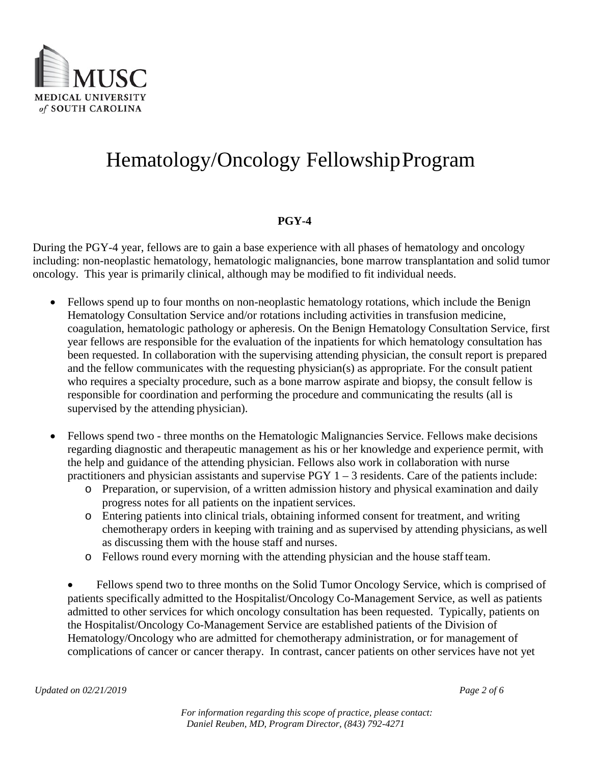

### **PGY-4**

During the PGY-4 year, fellows are to gain a base experience with all phases of hematology and oncology including: non-neoplastic hematology, hematologic malignancies, bone marrow transplantation and solid tumor oncology. This year is primarily clinical, although may be modified to fit individual needs.

- Fellows spend up to four months on non-neoplastic hematology rotations, which include the Benign Hematology Consultation Service and/or rotations including activities in transfusion medicine, coagulation, hematologic pathology or apheresis. On the Benign Hematology Consultation Service, first year fellows are responsible for the evaluation of the inpatients for which hematology consultation has been requested. In collaboration with the supervising attending physician, the consult report is prepared and the fellow communicates with the requesting physician(s) as appropriate. For the consult patient who requires a specialty procedure, such as a bone marrow aspirate and biopsy, the consult fellow is responsible for coordination and performing the procedure and communicating the results (all is supervised by the attending physician).
- Fellows spend two three months on the Hematologic Malignancies Service. Fellows make decisions regarding diagnostic and therapeutic management as his or her knowledge and experience permit, with the help and guidance of the attending physician. Fellows also work in collaboration with nurse practitioners and physician assistants and supervise  $PGY$  1 – 3 residents. Care of the patients include:
	- o Preparation, or supervision, of a written admission history and physical examination and daily progress notes for all patients on the inpatient services.
	- o Entering patients into clinical trials, obtaining informed consent for treatment, and writing chemotherapy orders in keeping with training and as supervised by attending physicians, as well as discussing them with the house staff and nurses.
	- o Fellows round every morning with the attending physician and the house staffteam.

• Fellows spend two to three months on the Solid Tumor Oncology Service, which is comprised of patients specifically admitted to the Hospitalist/Oncology Co-Management Service, as well as patients admitted to other services for which oncology consultation has been requested. Typically, patients on the Hospitalist/Oncology Co-Management Service are established patients of the Division of Hematology/Oncology who are admitted for chemotherapy administration, or for management of complications of cancer or cancer therapy. In contrast, cancer patients on other services have not yet

*For information regarding this scope of practice, please contact: Daniel Reuben, MD, Program Director, (843) 792-4271*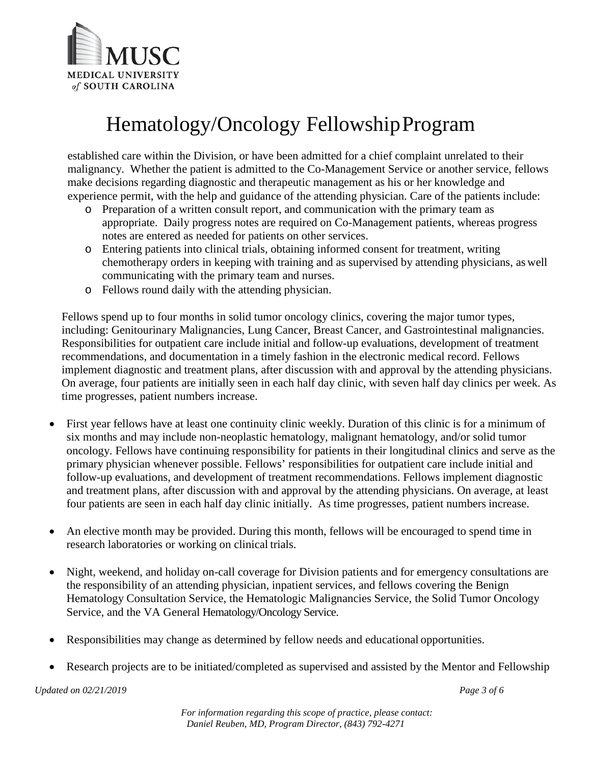

established care within the Division, or have been admitted for a chief complaint unrelated to their malignancy. Whether the patient is admitted to the Co-Management Service or another service, fellows make decisions regarding diagnostic and therapeutic management as his or her knowledge and experience permit, with the help and guidance of the attending physician. Care of the patients include:

- o Preparation of a written consult report, and communication with the primary team as appropriate. Daily progress notes are required on Co-Management patients, whereas progress notes are entered as needed for patients on other services.
- o Entering patients into clinical trials, obtaining informed consent for treatment, writing chemotherapy orders in keeping with training and as supervised by attending physicians, as well communicating with the primary team and nurses.
- o Fellows round daily with the attending physician.

Fellows spend up to four months in solid tumor oncology clinics, covering the major tumor types, including: Genitourinary Malignancies, Lung Cancer, Breast Cancer, and Gastrointestinal malignancies. Responsibilities for outpatient care include initial and follow-up evaluations, development of treatment recommendations, and documentation in a timely fashion in the electronic medical record. Fellows implement diagnostic and treatment plans, after discussion with and approval by the attending physicians. On average, four patients are initially seen in each half day clinic, with seven half day clinics per week. As time progresses, patient numbers increase.

- First year fellows have at least one continuity clinic weekly. Duration of this clinic is for a minimum of six months and may include non-neoplastic hematology, malignant hematology, and/or solid tumor oncology. Fellows have continuing responsibility for patients in their longitudinal clinics and serve as the primary physician whenever possible. Fellows' responsibilities for outpatient care include initial and follow-up evaluations, and development of treatment recommendations. Fellows implement diagnostic and treatment plans, after discussion with and approval by the attending physicians. On average, at least four patients are seen in each half day clinic initially. As time progresses, patient numbers increase.
- An elective month may be provided. During this month, fellows will be encouraged to spend time in research laboratories or working on clinical trials.
- Night, weekend, and holiday on-call coverage for Division patients and for emergency consultations are the responsibility of an attending physician, inpatient services, and fellows covering the Benign Hematology Consultation Service, the Hematologic Malignancies Service, the Solid Tumor Oncology Service, and the VA General Hematology/Oncology Service.
- Responsibilities may change as determined by fellow needs and educational opportunities.
- Research projects are to be initiated/completed as supervised and assisted by the Mentor and Fellowship

*Updated on 02/21/2019 Page 3 of 6*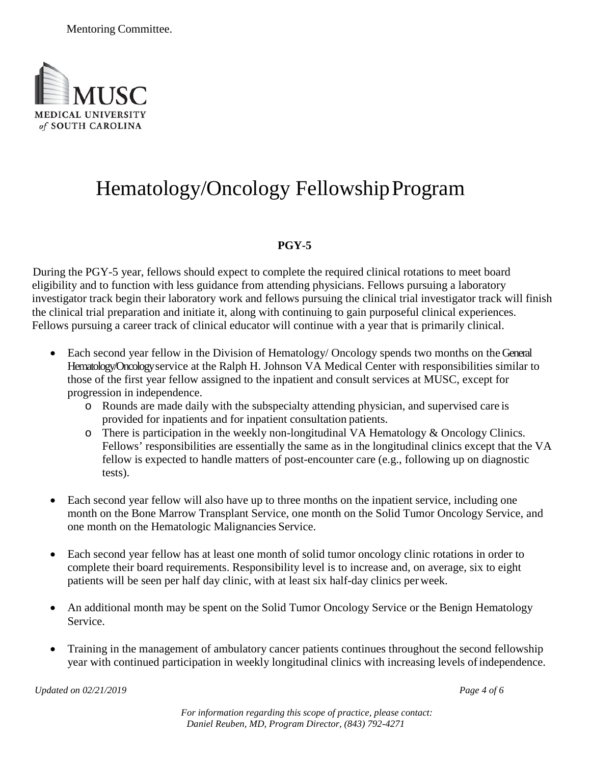

### **PGY-5**

During the PGY-5 year, fellows should expect to complete the required clinical rotations to meet board eligibility and to function with less guidance from attending physicians. Fellows pursuing a laboratory investigator track begin their laboratory work and fellows pursuing the clinical trial investigator track will finish the clinical trial preparation and initiate it, along with continuing to gain purposeful clinical experiences. Fellows pursuing a career track of clinical educator will continue with a year that is primarily clinical.

- Each second year fellow in the Division of Hematology/ Oncology spends two months on the General Hematology/Oncology service at the Ralph H. Johnson VA Medical Center with responsibilities similar to those of the first year fellow assigned to the inpatient and consult services at MUSC, except for progression in independence.
	- o Rounds are made daily with the subspecialty attending physician, and supervised care is provided for inpatients and for inpatient consultation patients.
	- o There is participation in the weekly non-longitudinal VA Hematology & Oncology Clinics. Fellows' responsibilities are essentially the same as in the longitudinal clinics except that the VA fellow is expected to handle matters of post-encounter care (e.g., following up on diagnostic tests).
- Each second year fellow will also have up to three months on the inpatient service, including one month on the Bone Marrow Transplant Service, one month on the Solid Tumor Oncology Service, and one month on the Hematologic Malignancies Service.
- Each second year fellow has at least one month of solid tumor oncology clinic rotations in order to complete their board requirements. Responsibility level is to increase and, on average, six to eight patients will be seen per half day clinic, with at least six half-day clinics per week.
- An additional month may be spent on the Solid Tumor Oncology Service or the Benign Hematology Service.
- Training in the management of ambulatory cancer patients continues throughout the second fellowship year with continued participation in weekly longitudinal clinics with increasing levels ofindependence.

*Updated on 02/21/2019 Page 4 of 6*

*For information regarding this scope of practice, please contact: Daniel Reuben, MD, Program Director, (843) 792-4271*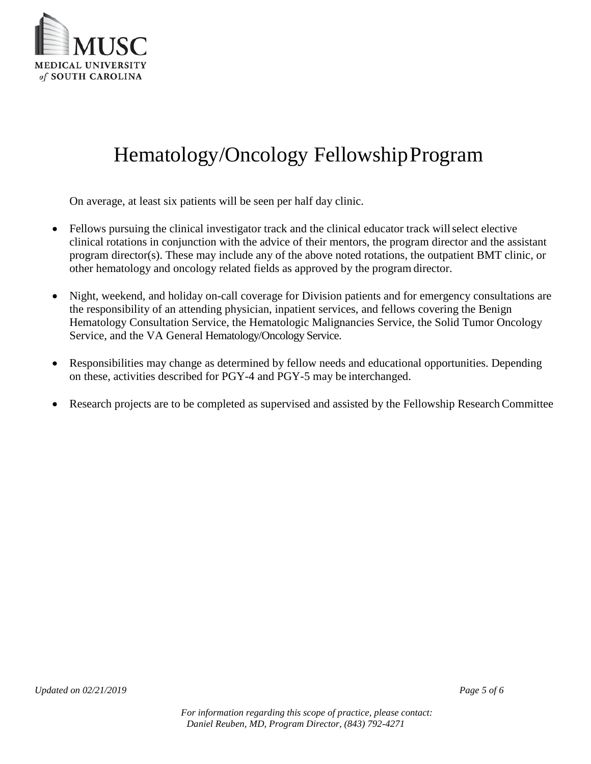

On average, at least six patients will be seen per half day clinic.

- Fellows pursuing the clinical investigator track and the clinical educator track will select elective clinical rotations in conjunction with the advice of their mentors, the program director and the assistant program director(s). These may include any of the above noted rotations, the outpatient BMT clinic, or other hematology and oncology related fields as approved by the program director.
- Night, weekend, and holiday on-call coverage for Division patients and for emergency consultations are the responsibility of an attending physician, inpatient services, and fellows covering the Benign Hematology Consultation Service, the Hematologic Malignancies Service, the Solid Tumor Oncology Service, and the VA General Hematology/Oncology Service.
- Responsibilities may change as determined by fellow needs and educational opportunities. Depending on these, activities described for PGY-4 and PGY-5 may be interchanged.
- Research projects are to be completed as supervised and assisted by the Fellowship ResearchCommittee